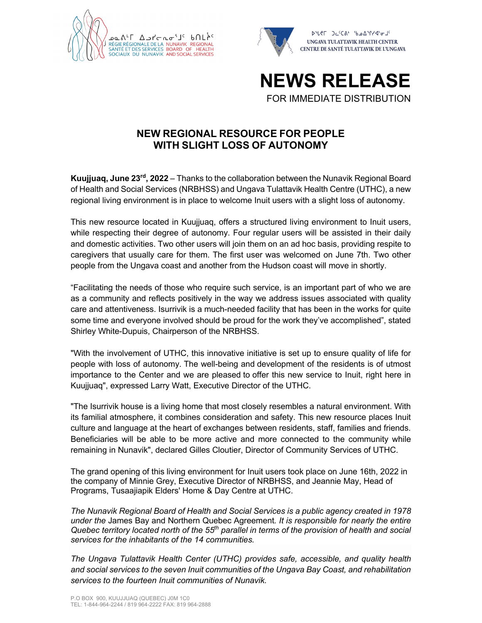





**NEW REGIONAL RESOURCE FOR PEOPLE WITH SLIGHT LOSS OF AUTONOMY**

**Kuujjuaq, June 23rd, 2022** – Thanks to the collaboration between the Nunavik Regional Board of Health and Social Services (NRBHSS) and Ungava Tulattavik Health Centre (UTHC), a new regional living environment is in place to welcome Inuit users with a slight loss of autonomy.

This new resource located in Kuujjuaq, offers a structured living environment to Inuit users, while respecting their degree of autonomy. Four regular users will be assisted in their daily and domestic activities. Two other users will join them on an ad hoc basis, providing respite to caregivers that usually care for them. The first user was welcomed on June 7th. Two other people from the Ungava coast and another from the Hudson coast will move in shortly.

"Facilitating the needs of those who require such service, is an important part of who we are as a community and reflects positively in the way we address issues associated with quality care and attentiveness. Isurrivik is a much-needed facility that has been in the works for quite some time and everyone involved should be proud for the work they've accomplished", stated Shirley White-Dupuis, Chairperson of the NRBHSS.

"With the involvement of UTHC, this innovative initiative is set up to ensure quality of life for people with loss of autonomy. The well-being and development of the residents is of utmost importance to the Center and we are pleased to offer this new service to Inuit, right here in Kuujjuaq", expressed Larry Watt, Executive Director of the UTHC.

"The Isurrivik house is a living home that most closely resembles a natural environment. With its familial atmosphere, it combines consideration and safety. This new resource places Inuit culture and language at the heart of exchanges between residents, staff, families and friends. Beneficiaries will be able to be more active and more connected to the community while remaining in Nunavik", declared Gilles Cloutier, Director of Community Services of UTHC.

The grand opening of this living environment for Inuit users took place on June 16th, 2022 in the company of Minnie Grey, Executive Director of NRBHSS, and Jeannie May, Head of Programs, Tusaajiapik Elders' Home & Day Centre at UTHC.

*The Nunavik Regional Board of Health and Social Services is a public agency created in 1978 under the* James Bay and Northern Quebec Agreement*. It is responsible for nearly the entire Quebec territory located north of the 55th parallel in terms of the provision of health and social services for the inhabitants of the 14 communities.*

*The Ungava Tulattavik Health Center (UTHC) provides safe, accessible, and quality health and social services to the seven Inuit communities of the Ungava Bay Coast, and rehabilitation services to the fourteen Inuit communities of Nunavik.*